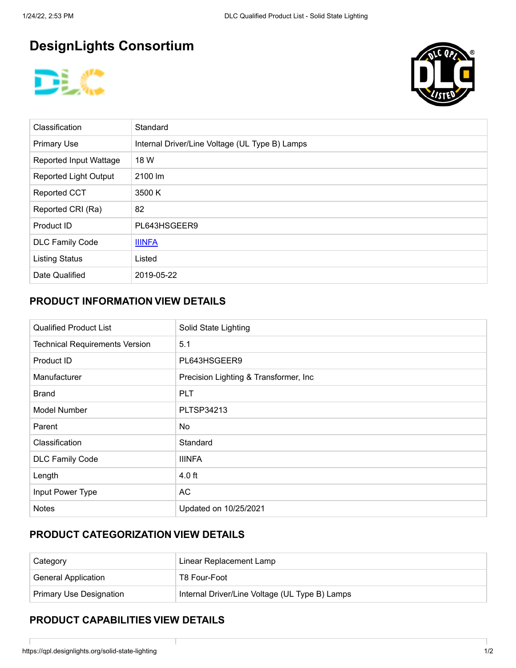# **DesignLights Consortium**





| Classification                | Standard                                       |
|-------------------------------|------------------------------------------------|
| <b>Primary Use</b>            | Internal Driver/Line Voltage (UL Type B) Lamps |
| <b>Reported Input Wattage</b> | 18 W                                           |
| <b>Reported Light Output</b>  | 2100 lm                                        |
| <b>Reported CCT</b>           | 3500 K                                         |
| Reported CRI (Ra)             | 82                                             |
| Product ID                    | PL643HSGEER9                                   |
| <b>DLC Family Code</b>        | <b>IIINFA</b>                                  |
| <b>Listing Status</b>         | Listed                                         |
| Date Qualified                | 2019-05-22                                     |

#### **PRODUCT INFORMATION VIEW DETAILS**

| <b>Qualified Product List</b>         | Solid State Lighting                   |
|---------------------------------------|----------------------------------------|
| <b>Technical Requirements Version</b> | 5.1                                    |
| Product ID                            | PL643HSGEER9                           |
| Manufacturer                          | Precision Lighting & Transformer, Inc. |
| <b>Brand</b>                          | <b>PLT</b>                             |
| <b>Model Number</b>                   | <b>PLTSP34213</b>                      |
| Parent                                | No.                                    |
| Classification                        | Standard                               |
| <b>DLC Family Code</b>                | <b>IIINFA</b>                          |
| Length                                | $4.0$ ft                               |
| Input Power Type                      | <b>AC</b>                              |
| <b>Notes</b>                          | Updated on 10/25/2021                  |

### **PRODUCT CATEGORIZATION VIEW DETAILS**

| Category                       | Linear Replacement Lamp                        |  |
|--------------------------------|------------------------------------------------|--|
| <b>General Application</b>     | T8 Four-Foot                                   |  |
| <b>Primary Use Designation</b> | Internal Driver/Line Voltage (UL Type B) Lamps |  |

#### **PRODUCT CAPABILITIES VIEW DETAILS**